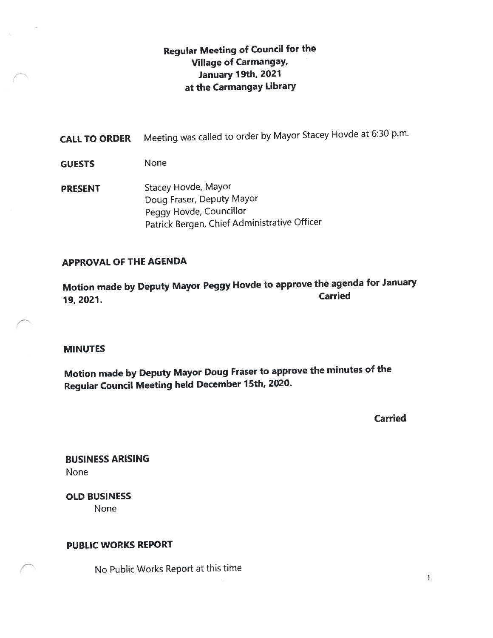# Regular Meeting of Council for the Village of Carmangay, January 19th, <sup>2021</sup> at the Carmangay Library

CALL TO ORDER Meeting was called to order by Mayor Stacey Hovde at 6:30 p.m.

- GUESTS None
- **PRESENT** Stacey Hovde, Mayor Doug Fraser, Deputy Mayor Peggy Hovde, Councillor Patrick Bergen, Chief Administrative Officer

### APPROVAL OF THE AGENDA

Motion made by Deputy Mayor Peggy Hovde to approve the agenda for January 19, 2021.

### MINUTES

Motion made by Deputy Mayor Doug Fraser to approve the minutes of the Regular Council Meeting held December <sup>7</sup> 5th, 2020.

Carried

 $\mathbf{I}$ 

BUSINESS ARISING None

OLD BUSINESS None

### PUBLIC WORKS REPORT

No Public Works Report at this time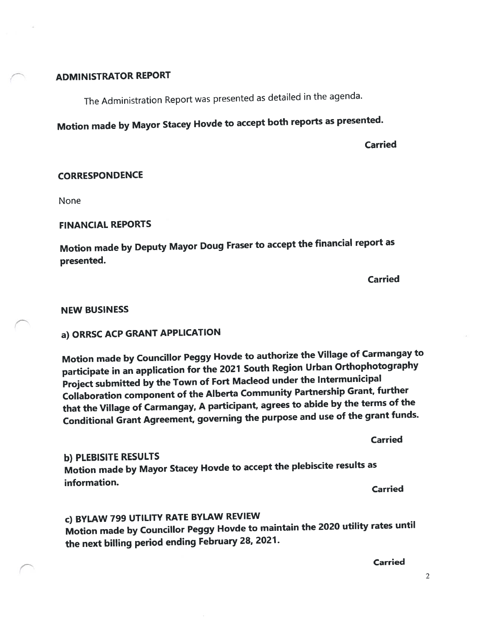### ADMINISTRATOR REPORT

The Administration Report was presented as detailed in the agenda.

Motion made by Mayor Stacey Hovde to accep<sup>t</sup> both reports as presented.

Carried

#### **CORRESPONDENCE**

None

#### FINANCIAL REPORTS

Motion made by Deputy Mayor Doug Fraser to accep<sup>t</sup> the financial repor<sup>t</sup> as presented.

Carried

#### NEW BUSINESS

# a) ORRSC ACP GRANT APPLICATION

Motion made by Councillor Peggy Hovde to authorize the Village of Carmangay to participate in an application for the <sup>2021</sup> South Region Urban Orthophotography Project submitted by the Town of Fort Macleod under the Intermunicipal Collaboration componen<sup>t</sup> of the Alberta Community Partnership Grant, further that the Village of Carmangay, <sup>A</sup> participant, agrees to abide by the terms of the Conditional Grant Agreement, governing the purpose and use of the gran<sup>t</sup> funds.

Carried b) PLEBISITE RESULTS Motion made by Mayor Stacey Hovde to accep<sup>t</sup> the <sup>p</sup>lebiscite results as information. Carried

# C) BYLAW <sup>799</sup> UTILITY RATE BYLAW REVIEW

Motion made by Councillor Peggy Hovde to maintain the <sup>2020</sup> utility rates until the next billing period ending February 28, 2021.

Carried

2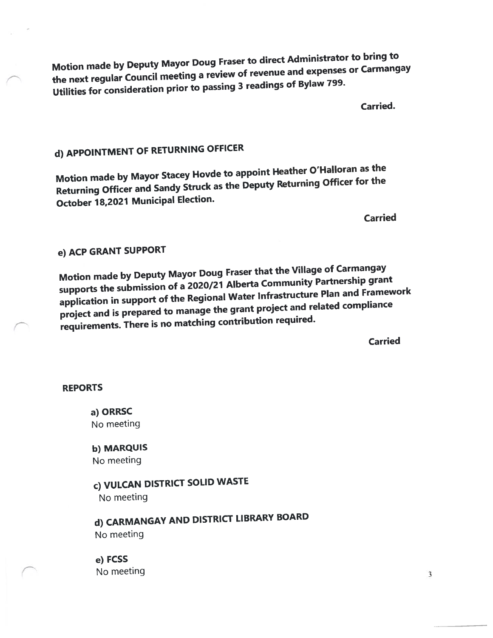Motion made by Deputy Mayor Doug Fraser to direct Administrator to bring to the next regular Council meeting <sup>a</sup> review of revenue and expenses or Carmangay Utilities for consideration prior to passing <sup>3</sup> readings of Bylaw 799.

Carried.

# d) APPOINTMENT OF RETURNING OFFICER

Motion made by Mayor Stacey Hovde to appoint Heather O'Halloran as the Returning Officer and Sandy Struck as the Deputy Returning Officer for the October 18,2027 Municipal Election.

Carried

# e) ACP GRANT SUPPORT

Motion made by Deputy Mayor Doug Fraser that the Village of Carmangay supports the submission of <sup>a</sup> 2020/21 Alberta Community Partnership gran<sup>t</sup> application in support of the Regional Water Infrastructure Plan and Framework project and is prepare<sup>d</sup> to manage the gran<sup>t</sup> project and related compliance requirements. There is no matching contribution required.

Carried

### REPORTS

a) ORRSC No meeting

b) MARQUIS No meeting

# c) VULCAN DISTRICT SOLID WASTE No meeting

d) CARMANGAY AND DISTRICT LIBRARY BOARD No meeting

e) FCSS No meeting